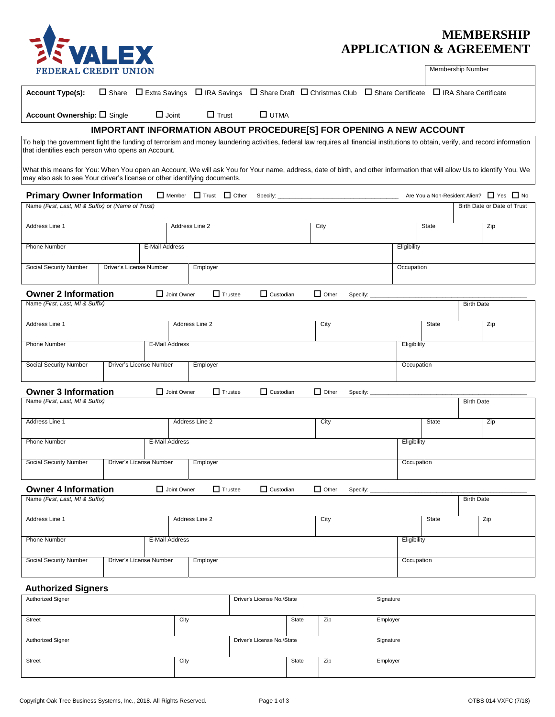

## **MEMBERSHIP APPLICATION & AGREEMENT**

Membership Number

| <b>Account Type(s):</b>                                                                                                                                                                                                                             | $\Box$ Share            |                         |                |                |                             |       | $\Box$ Extra Savings $\Box$ IRA Savings $\Box$ Share Draft $\Box$ Christmas Club $\Box$ Share Certificate |          |             | □ IRA Share Certificate |                   |                                          |
|-----------------------------------------------------------------------------------------------------------------------------------------------------------------------------------------------------------------------------------------------------|-------------------------|-------------------------|----------------|----------------|-----------------------------|-------|-----------------------------------------------------------------------------------------------------------|----------|-------------|-------------------------|-------------------|------------------------------------------|
| Account Ownership: $\square$ Single                                                                                                                                                                                                                 |                         | $\Box$ Joint            |                | $\Box$ Trust   | $\square$ UTMA              |       |                                                                                                           |          |             |                         |                   |                                          |
|                                                                                                                                                                                                                                                     |                         |                         |                |                |                             |       | IMPORTANT INFORMATION ABOUT PROCEDURE[S] FOR OPENING A NEW ACCOUNT                                        |          |             |                         |                   |                                          |
| To help the government fight the funding of terrorism and money laundering activities, federal law requires all financial institutions to obtain, verify, and record information<br>that identifies each person who opens an Account.               |                         |                         |                |                |                             |       |                                                                                                           |          |             |                         |                   |                                          |
| What this means for You: When You open an Account, We will ask You for Your name, address, date of birth, and other information that will allow Us to identify You. We<br>may also ask to see Your driver's license or other identifying documents. |                         |                         |                |                |                             |       |                                                                                                           |          |             |                         |                   |                                          |
| <b>Primary Owner Information</b>                                                                                                                                                                                                                    |                         |                         |                |                | Member Trust Other Specify: |       |                                                                                                           |          |             |                         |                   | Are You a Non-Resident Alien? □ Yes □ No |
| Name (First, Last, MI & Suffix) or (Name of Trust)                                                                                                                                                                                                  |                         |                         |                |                |                             |       |                                                                                                           |          |             |                         |                   | Birth Date or Date of Trust              |
| Address Line 1                                                                                                                                                                                                                                      |                         |                         | Address Line 2 |                |                             |       | City                                                                                                      |          |             | State                   |                   | Zip                                      |
| Phone Number                                                                                                                                                                                                                                        |                         | E-Mail Address          |                |                |                             |       |                                                                                                           |          | Eligibility |                         |                   |                                          |
| <b>Social Security Number</b>                                                                                                                                                                                                                       |                         | Driver's License Number |                | Employer       |                             |       |                                                                                                           |          | Occupation  |                         |                   |                                          |
| <b>Owner 2 Information</b>                                                                                                                                                                                                                          |                         |                         | Joint Owner    | $\Box$ Trustee | $\Box$ Custodian            |       | $\Box$ Other<br>Specify:                                                                                  |          |             |                         |                   |                                          |
| Name (First, Last, MI & Suffix)                                                                                                                                                                                                                     |                         |                         |                |                |                             |       |                                                                                                           |          |             |                         | <b>Birth Date</b> |                                          |
| Address Line 1                                                                                                                                                                                                                                      |                         |                         | Address Line 2 |                |                             |       | City                                                                                                      |          |             | State                   |                   | Zip                                      |
| <b>Phone Number</b>                                                                                                                                                                                                                                 |                         | E-Mail Address          |                |                |                             |       |                                                                                                           |          | Eligibility |                         |                   |                                          |
| Social Security Number                                                                                                                                                                                                                              |                         | Driver's License Number |                | Employer       |                             |       |                                                                                                           |          | Occupation  |                         |                   |                                          |
| <b>Owner 3 Information</b><br>Joint Owner<br>$\Box$ Trustee<br>$\Box$ Custodian<br>$\Box$ Other<br>Specify:                                                                                                                                         |                         |                         |                |                |                             |       |                                                                                                           |          |             |                         |                   |                                          |
| Name (First, Last, MI & Suffix)                                                                                                                                                                                                                     |                         |                         |                |                |                             |       |                                                                                                           |          |             |                         | <b>Birth Date</b> |                                          |
| Address Line 1                                                                                                                                                                                                                                      |                         |                         | Address Line 2 |                |                             |       | City                                                                                                      |          |             | State                   |                   | Zip                                      |
| <b>Phone Number</b>                                                                                                                                                                                                                                 |                         | E-Mail Address          |                |                |                             |       |                                                                                                           |          | Eligibility |                         |                   |                                          |
| Social Security Number                                                                                                                                                                                                                              |                         | Driver's License Number |                | Employer       | Occupation                  |       |                                                                                                           |          |             |                         |                   |                                          |
| <b>Owner 4 Information</b>                                                                                                                                                                                                                          |                         |                         | Joint Owner    | $\Box$ Trustee | $\Box$ Custodian            |       | $\Box$ Other<br>Specify:                                                                                  |          |             |                         |                   |                                          |
| Name (First, Last, MI & Suffix)                                                                                                                                                                                                                     |                         |                         |                |                |                             |       |                                                                                                           |          |             |                         | <b>Birth Date</b> |                                          |
| Address Line 1                                                                                                                                                                                                                                      |                         |                         | Address Line 2 |                |                             |       | City                                                                                                      |          |             | <b>State</b>            |                   | Zip                                      |
| <b>Phone Number</b><br>E-Mail Address                                                                                                                                                                                                               |                         |                         |                |                |                             |       |                                                                                                           |          | Eligibility |                         |                   |                                          |
| Social Security Number                                                                                                                                                                                                                              | Driver's License Number |                         |                | Employer       |                             |       |                                                                                                           |          | Occupation  |                         |                   |                                          |
| <b>Authorized Signers</b>                                                                                                                                                                                                                           |                         |                         |                |                |                             |       |                                                                                                           |          |             |                         |                   |                                          |
| Authorized Signer<br>Driver's License No./State<br>Signature                                                                                                                                                                                        |                         |                         |                |                |                             |       |                                                                                                           |          |             |                         |                   |                                          |
| <b>Street</b>                                                                                                                                                                                                                                       |                         |                         | City           |                |                             | State | Zip                                                                                                       | Employer |             |                         |                   |                                          |

Authorized Signer Signature Signature No./State Signature Signature

Street City City City State Zip Employer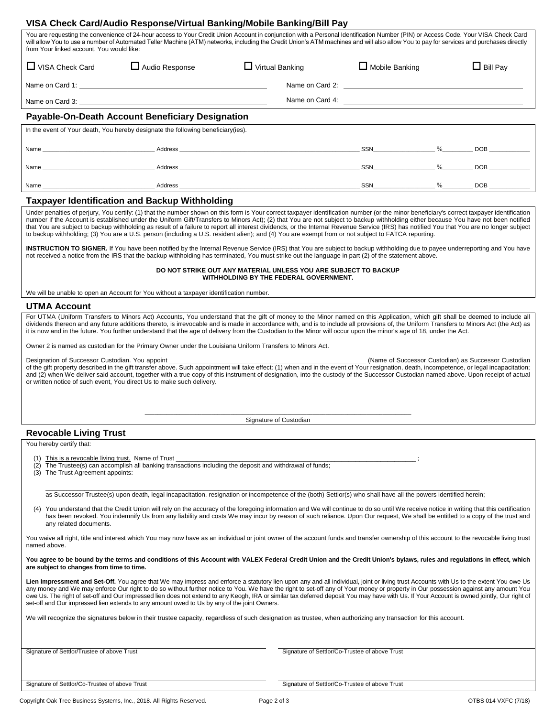|                                                                                                                                                                                                                                                                                                                                                                                                                                                                                                                                                                      |                                                                                        | VISA Check Card/Audio Response/Virtual Banking/Mobile Banking/Bill Pay                                                                                                                                                                                                                                                                                                                                                                                                                                                                                                                                                                                                                                                              |                       |  |                 |  |
|----------------------------------------------------------------------------------------------------------------------------------------------------------------------------------------------------------------------------------------------------------------------------------------------------------------------------------------------------------------------------------------------------------------------------------------------------------------------------------------------------------------------------------------------------------------------|----------------------------------------------------------------------------------------|-------------------------------------------------------------------------------------------------------------------------------------------------------------------------------------------------------------------------------------------------------------------------------------------------------------------------------------------------------------------------------------------------------------------------------------------------------------------------------------------------------------------------------------------------------------------------------------------------------------------------------------------------------------------------------------------------------------------------------------|-----------------------|--|-----------------|--|
| from Your linked account. You would like:                                                                                                                                                                                                                                                                                                                                                                                                                                                                                                                            |                                                                                        | You are requesting the convenience of 24-hour access to Your Credit Union Account in conjunction with a Personal Identification Number (PIN) or Access Code. Your VISA Check Card<br>will allow You to use a number of Automated Teller Machine (ATM) networks, including the Credit Union's ATM machines and will also allow You to pay for services and purchases directly                                                                                                                                                                                                                                                                                                                                                        |                       |  |                 |  |
| $\Box$ VISA Check Card                                                                                                                                                                                                                                                                                                                                                                                                                                                                                                                                               | $\Box$ Audio Response                                                                  | $\Box$ Virtual Banking                                                                                                                                                                                                                                                                                                                                                                                                                                                                                                                                                                                                                                                                                                              | $\Box$ Mobile Banking |  | $\Box$ Bill Pay |  |
|                                                                                                                                                                                                                                                                                                                                                                                                                                                                                                                                                                      |                                                                                        |                                                                                                                                                                                                                                                                                                                                                                                                                                                                                                                                                                                                                                                                                                                                     |                       |  |                 |  |
|                                                                                                                                                                                                                                                                                                                                                                                                                                                                                                                                                                      |                                                                                        |                                                                                                                                                                                                                                                                                                                                                                                                                                                                                                                                                                                                                                                                                                                                     | Name on Card 4:       |  |                 |  |
|                                                                                                                                                                                                                                                                                                                                                                                                                                                                                                                                                                      | <b>Payable-On-Death Account Beneficiary Designation</b>                                |                                                                                                                                                                                                                                                                                                                                                                                                                                                                                                                                                                                                                                                                                                                                     |                       |  |                 |  |
|                                                                                                                                                                                                                                                                                                                                                                                                                                                                                                                                                                      | In the event of Your death, You hereby designate the following beneficiary (ies).      |                                                                                                                                                                                                                                                                                                                                                                                                                                                                                                                                                                                                                                                                                                                                     |                       |  |                 |  |
|                                                                                                                                                                                                                                                                                                                                                                                                                                                                                                                                                                      |                                                                                        |                                                                                                                                                                                                                                                                                                                                                                                                                                                                                                                                                                                                                                                                                                                                     |                       |  |                 |  |
|                                                                                                                                                                                                                                                                                                                                                                                                                                                                                                                                                                      |                                                                                        |                                                                                                                                                                                                                                                                                                                                                                                                                                                                                                                                                                                                                                                                                                                                     |                       |  |                 |  |
|                                                                                                                                                                                                                                                                                                                                                                                                                                                                                                                                                                      |                                                                                        |                                                                                                                                                                                                                                                                                                                                                                                                                                                                                                                                                                                                                                                                                                                                     |                       |  |                 |  |
|                                                                                                                                                                                                                                                                                                                                                                                                                                                                                                                                                                      | <b>Taxpayer Identification and Backup Withholding</b>                                  |                                                                                                                                                                                                                                                                                                                                                                                                                                                                                                                                                                                                                                                                                                                                     |                       |  |                 |  |
|                                                                                                                                                                                                                                                                                                                                                                                                                                                                                                                                                                      |                                                                                        | Under penalties of perjury, You certify: (1) that the number shown on this form is Your correct taxpayer identification number (or the minor beneficiary's correct taxpayer identification<br>number if the Account is established under the Uniform Gift/Transfers to Minors Act); (2) that You are not subject to backup withholding either because You have not been notified<br>that You are subject to backup withholding as result of a failure to report all interest dividends, or the Internal Revenue Service (IRS) has notified You that You are no longer subject<br>to backup withholding; (3) You are a U.S. person (including a U.S. resident alien); and (4) You are exempt from or not subject to FATCA reporting. |                       |  |                 |  |
|                                                                                                                                                                                                                                                                                                                                                                                                                                                                                                                                                                      |                                                                                        | <b>INSTRUCTION TO SIGNER.</b> If You have been notified by the Internal Revenue Service (IRS) that You are subject to backup withholding due to payee underreporting and You have<br>not received a notice from the IRS that the backup withholding has terminated, You must strike out the language in part (2) of the statement above.                                                                                                                                                                                                                                                                                                                                                                                            |                       |  |                 |  |
|                                                                                                                                                                                                                                                                                                                                                                                                                                                                                                                                                                      |                                                                                        | DO NOT STRIKE OUT ANY MATERIAL UNLESS YOU ARE SUBJECT TO BACKUP<br>WITHHOLDING BY THE FEDERAL GOVERNMENT.                                                                                                                                                                                                                                                                                                                                                                                                                                                                                                                                                                                                                           |                       |  |                 |  |
|                                                                                                                                                                                                                                                                                                                                                                                                                                                                                                                                                                      | We will be unable to open an Account for You without a taxpayer identification number. |                                                                                                                                                                                                                                                                                                                                                                                                                                                                                                                                                                                                                                                                                                                                     |                       |  |                 |  |
| <b>UTMA Account</b>                                                                                                                                                                                                                                                                                                                                                                                                                                                                                                                                                  |                                                                                        | For UTMA (Uniform Transfers to Minors Act) Accounts, You understand that the gift of money to the Minor named on this Application, which gift shall be deemed to include all                                                                                                                                                                                                                                                                                                                                                                                                                                                                                                                                                        |                       |  |                 |  |
|                                                                                                                                                                                                                                                                                                                                                                                                                                                                                                                                                                      |                                                                                        | dividends thereon and any future additions thereto, is irrevocable and is made in accordance with, and is to include all provisions of, the Uniform Transfers to Minors Act (the Act) as<br>it is now and in the future. You further understand that the age of delivery from the Custodian to the Minor will occur upon the minor's age of 18, under the Act.                                                                                                                                                                                                                                                                                                                                                                      |                       |  |                 |  |
|                                                                                                                                                                                                                                                                                                                                                                                                                                                                                                                                                                      |                                                                                        | Owner 2 is named as custodian for the Primary Owner under the Louisiana Uniform Transfers to Minors Act.                                                                                                                                                                                                                                                                                                                                                                                                                                                                                                                                                                                                                            |                       |  |                 |  |
| (Name of Successor Custodian) as Successor Custodian<br>Designation of Successor Custodian. You appoint<br>of the gift property described in the gift transfer above. Such appointment will take effect: (1) when and in the event of Your resignation, death, incompetence, or legal incapacitation;<br>and (2) when We deliver said account, together with a true copy of this instrument of designation, into the custody of the Successor Custodian named above. Upon receipt of actual<br>or written notice of such event. You direct Us to make such delivery. |                                                                                        |                                                                                                                                                                                                                                                                                                                                                                                                                                                                                                                                                                                                                                                                                                                                     |                       |  |                 |  |
|                                                                                                                                                                                                                                                                                                                                                                                                                                                                                                                                                                      |                                                                                        |                                                                                                                                                                                                                                                                                                                                                                                                                                                                                                                                                                                                                                                                                                                                     |                       |  |                 |  |
|                                                                                                                                                                                                                                                                                                                                                                                                                                                                                                                                                                      |                                                                                        | Signature of Custodian                                                                                                                                                                                                                                                                                                                                                                                                                                                                                                                                                                                                                                                                                                              |                       |  |                 |  |
| <b>Revocable Living Trust</b>                                                                                                                                                                                                                                                                                                                                                                                                                                                                                                                                        |                                                                                        |                                                                                                                                                                                                                                                                                                                                                                                                                                                                                                                                                                                                                                                                                                                                     |                       |  |                 |  |
| You hereby certify that:                                                                                                                                                                                                                                                                                                                                                                                                                                                                                                                                             |                                                                                        |                                                                                                                                                                                                                                                                                                                                                                                                                                                                                                                                                                                                                                                                                                                                     |                       |  |                 |  |
| (1) This is a revocable living trust. Name of Trust<br>(2)<br>(3) The Trust Agreement appoints:                                                                                                                                                                                                                                                                                                                                                                                                                                                                      |                                                                                        | The Trustee(s) can accomplish all banking transactions including the deposit and withdrawal of funds;                                                                                                                                                                                                                                                                                                                                                                                                                                                                                                                                                                                                                               |                       |  |                 |  |
|                                                                                                                                                                                                                                                                                                                                                                                                                                                                                                                                                                      |                                                                                        | as Successor Trustee(s) upon death, legal incapacitation, resignation or incompetence of the (both) Settlor(s) who shall have all the powers identified herein;                                                                                                                                                                                                                                                                                                                                                                                                                                                                                                                                                                     |                       |  |                 |  |
| (4)<br>any related documents.                                                                                                                                                                                                                                                                                                                                                                                                                                                                                                                                        |                                                                                        | You understand that the Credit Union will rely on the accuracy of the foregoing information and We will continue to do so until We receive notice in writing that this certification<br>has been revoked. You indemnify Us from any liability and costs We may incur by reason of such reliance. Upon Our request, We shall be entitled to a copy of the trust and                                                                                                                                                                                                                                                                                                                                                                  |                       |  |                 |  |
| named above.                                                                                                                                                                                                                                                                                                                                                                                                                                                                                                                                                         |                                                                                        | You waive all right, title and interest which You may now have as an individual or joint owner of the account funds and transfer ownership of this account to the revocable living trust                                                                                                                                                                                                                                                                                                                                                                                                                                                                                                                                            |                       |  |                 |  |
| are subject to changes from time to time.                                                                                                                                                                                                                                                                                                                                                                                                                                                                                                                            |                                                                                        | You agree to be bound by the terms and conditions of this Account with VALEX Federal Credit Union and the Credit Union's bylaws, rules and regulations in effect, which                                                                                                                                                                                                                                                                                                                                                                                                                                                                                                                                                             |                       |  |                 |  |

Lien Impressment and Set-Off. You agree that We may impress and enforce a statutory lien upon any and all individual, joint or living trust Accounts with Us to the extent You owe Us any money and We may enforce Our right to do so without further notice to You. We have the right to set-off any of Your money or property in Our possession against any amount You<br>owe Us. The right of set-off and Our impres set-off and Our impressed lien extends to any amount owed to Us by any of the joint Owners.

We will recognize the signatures below in their trustee capacity, regardless of such designation as trustee, when authorizing any transaction for this account.

Signature of Settlor/Co-Trustee of above Trust Signature of Settlor/Co-Trustee of above Trust

Signature of Settlor/Trustee of above Trust Signature of Settlor/Co-Trustee of above Trust